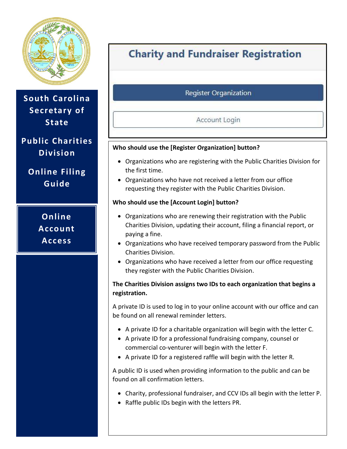

**South Carolina Secretary of State**

# **Public Charities Division**

**Online Filing Guide**

> **Online Account Access**

# **Charity and Fundraiser Registration**

## **Register Organization**

### Account Login

#### **Who should use the [Register Organization] button?**

- Organizations who are registering with the Public Charities Division for the first time.
- Organizations who have not received a letter from our office requesting they register with the Public Charities Division.

#### **Who should use the [Account Login] button?**

- Organizations who are renewing their registration with the Public Charities Division, updating their account, filing a financial report, or paying a fine.
- Organizations who have received temporary password from the Public Charities Division.
- Organizations who have received a letter from our office requesting they register with the Public Charities Division.

#### **The Charities Division assigns two IDs to each organization that begins a registration.**

A private ID is used to log in to your online account with our office and can be found on all renewal reminder letters.

- A private ID for a charitable organization will begin with the letter C.
- A private ID for a professional fundraising company, counsel or commercial co-venturer will begin with the letter F.
- A private ID for a registered raffle will begin with the letter R.

A public ID is used when providing information to the public and can be found on all confirmation letters.

- Charity, professional fundraiser, and CCV IDs all begin with the letter P.
- Raffle public IDs begin with the letters PR.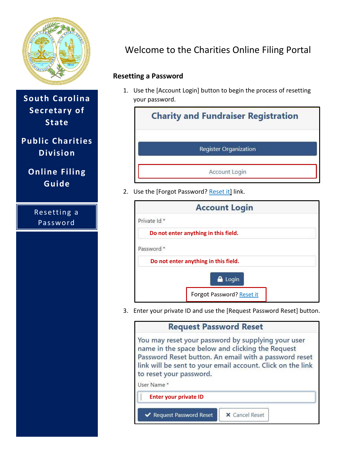

**South Carolina Secretary of State**

**Public Charities Division**

**Online Filing Guide**

> Resetting a **Password**

# Welcome to the Charities Online Filing Portal

## **Resetting a Password**

1. Use the [Account Login] button to begin the process of resetting your password.



2. Use the [Forgot Password? Reset it] link.

|              | <b>Account Login</b>                 |  |
|--------------|--------------------------------------|--|
| Private Id * |                                      |  |
|              | Do not enter anything in this field. |  |
| Password *   |                                      |  |
|              | Do not enter anything in this field. |  |
|              | Login                                |  |
|              | Forgot Password? Reset it            |  |

3. Enter your private ID and use the [Request Password Reset] button.

| <b>Request Password Reset</b>                                                                                                                                                                                                                                          |
|------------------------------------------------------------------------------------------------------------------------------------------------------------------------------------------------------------------------------------------------------------------------|
| You may reset your password by supplying your user<br>name in the space below and clicking the Request<br>Password Reset button. An email with a password reset<br>link will be sent to your email account. Click on the link<br>to reset your password.<br>User Name* |
| <b>Enter your private ID</b>                                                                                                                                                                                                                                           |
| X Cancel Reset<br>← Request Password Reset                                                                                                                                                                                                                             |